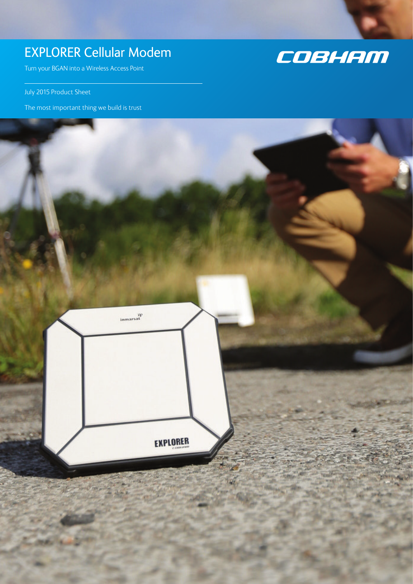# EXPLORER Cellular Modem

Turn your BGAN into a Wireless Access Point

July 2015 Product Sheet

The most important thing we build is trust